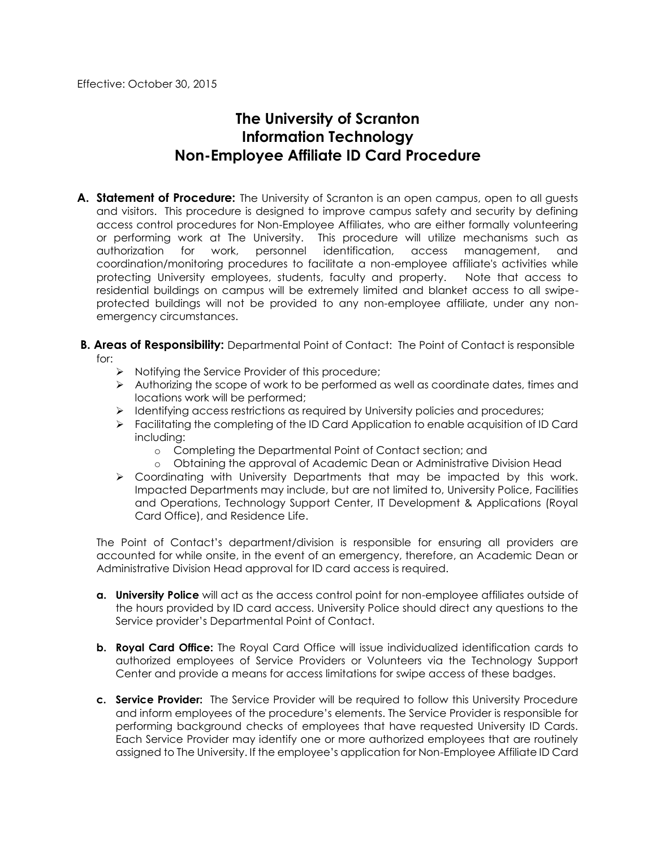Effective: October 30, 2015

# **The University of Scranton Information Technology Non-Employee Affiliate ID Card Procedure**

- **A. Statement of Procedure:** The University of Scranton is an open campus, open to all guests and visitors. This procedure is designed to improve campus safety and security by defining access control procedures for Non-Employee Affiliates, who are either formally volunteering or performing work at The University. This procedure will utilize mechanisms such as authorization for work, personnel identification, access management, and coordination/monitoring procedures to facilitate a non-employee affiliate's activities while protecting University employees, students, faculty and property. Note that access to residential buildings on campus will be extremely limited and blanket access to all swipeprotected buildings will not be provided to any non-employee affiliate, under any nonemergency circumstances.
- **B. Areas of Responsibility:** Departmental Point of Contact: The Point of Contact is responsible for:
	- $\triangleright$  Notifying the Service Provider of this procedure;
	- $\triangleright$  Authorizing the scope of work to be performed as well as coordinate dates, times and locations work will be performed;
	- $\triangleright$  Identifying access restrictions as required by University policies and procedures;
	- Facilitating the completing of the ID Card Application to enable acquisition of ID Card including:
		- o Completing the Departmental Point of Contact section; and
		- o Obtaining the approval of Academic Dean or Administrative Division Head
	- Coordinating with University Departments that may be impacted by this work. Impacted Departments may include, but are not limited to, University Police, Facilities and Operations, Technology Support Center, IT Development & Applications (Royal Card Office), and Residence Life.

The Point of Contact's department/division is responsible for ensuring all providers are accounted for while onsite, in the event of an emergency, therefore, an Academic Dean or Administrative Division Head approval for ID card access is required.

- **a. University Police** will act as the access control point for non-employee affiliates outside of the hours provided by ID card access. University Police should direct any questions to the Service provider's Departmental Point of Contact.
- **b. Royal Card Office:** The Royal Card Office will issue individualized identification cards to authorized employees of Service Providers or Volunteers via the Technology Support Center and provide a means for access limitations for swipe access of these badges.
- **c. Service Provider:** The Service Provider will be required to follow this University Procedure and inform employees of the procedure's elements. The Service Provider is responsible for performing background checks of employees that have requested University ID Cards. Each Service Provider may identify one or more authorized employees that are routinely assigned to The University. If the employee's application for Non-Employee Affiliate ID Card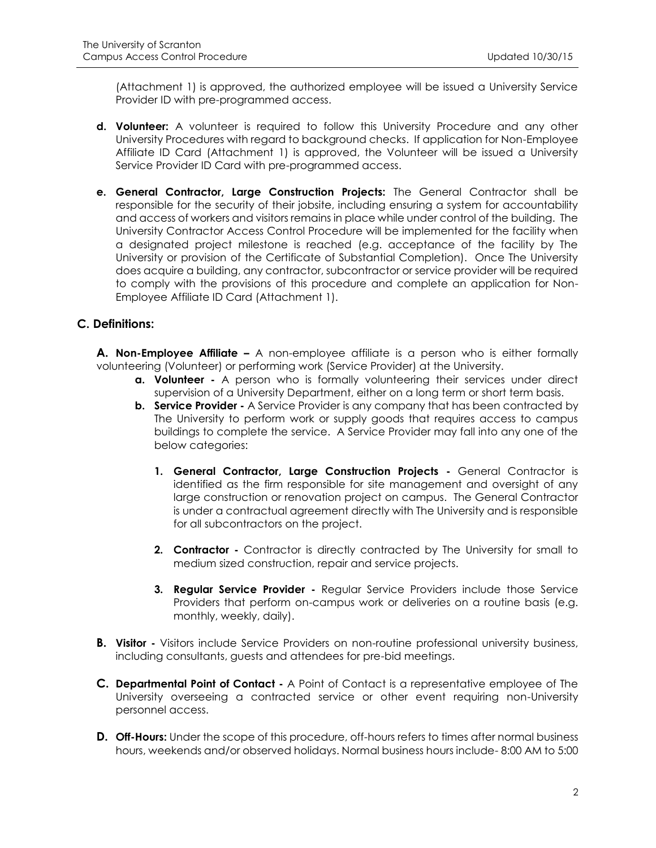(Attachment 1) is approved, the authorized employee will be issued a University Service Provider ID with pre-programmed access.

- **d. Volunteer:** A volunteer is required to follow this University Procedure and any other University Procedures with regard to background checks. If application for Non-Employee Affiliate ID Card (Attachment 1) is approved, the Volunteer will be issued a University Service Provider ID Card with pre-programmed access.
- **e. General Contractor, Large Construction Projects:** The General Contractor shall be responsible for the security of their jobsite, including ensuring a system for accountability and access of workers and visitors remains in place while under control of the building. The University Contractor Access Control Procedure will be implemented for the facility when a designated project milestone is reached (e.g. acceptance of the facility by The University or provision of the Certificate of Substantial Completion). Once The University does acquire a building, any contractor, subcontractor or service provider will be required to comply with the provisions of this procedure and complete an application for Non-Employee Affiliate ID Card (Attachment 1).

# **C. Definitions:**

**A. Non-Employee Affiliate –** A non-employee affiliate is a person who is either formally volunteering (Volunteer) or performing work (Service Provider) at the University.

- **a. Volunteer -** A person who is formally volunteering their services under direct supervision of a University Department, either on a long term or short term basis.
- **b. Service Provider -** A Service Provider is any company that has been contracted by The University to perform work or supply goods that requires access to campus buildings to complete the service. A Service Provider may fall into any one of the below categories:
	- **1. General Contractor, Large Construction Projects -** General Contractor is identified as the firm responsible for site management and oversight of any large construction or renovation project on campus. The General Contractor is under a contractual agreement directly with The University and is responsible for all subcontractors on the project.
	- **2. Contractor -** Contractor is directly contracted by The University for small to medium sized construction, repair and service projects.
	- **3. Regular Service Provider -** Regular Service Providers include those Service Providers that perform on-campus work or deliveries on a routine basis (e.g. monthly, weekly, daily).
- **B. Visitor -** Visitors include Service Providers on non-routine professional university business, including consultants, guests and attendees for pre-bid meetings.
- **C. Departmental Point of Contact -** A Point of Contact is a representative employee of The University overseeing a contracted service or other event requiring non-University personnel access.
- **D. Off-Hours:** Under the scope of this procedure, off-hours refers to times after normal business hours, weekends and/or observed holidays. Normal business hours include- 8:00 AM to 5:00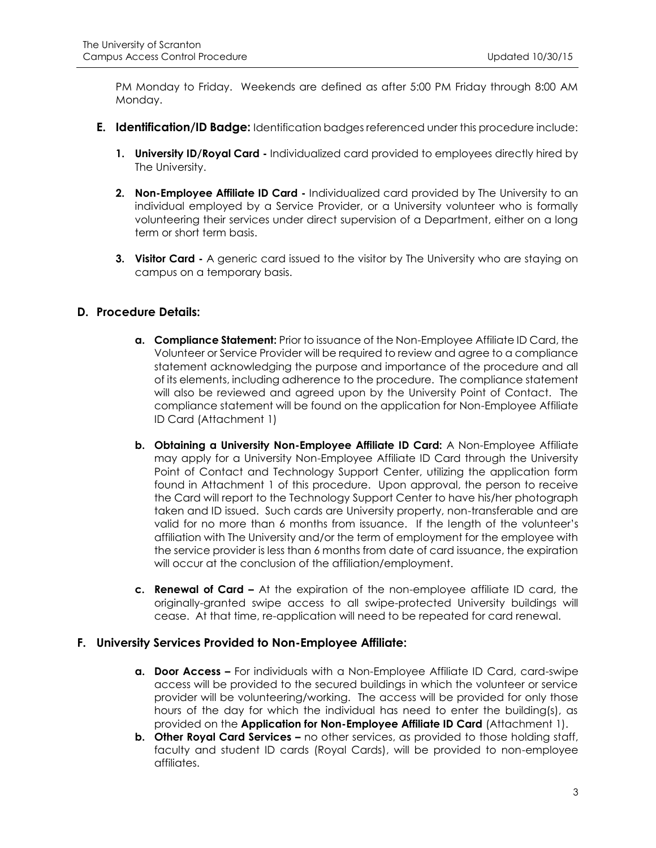PM Monday to Friday. Weekends are defined as after 5:00 PM Friday through 8:00 AM Monday.

- **E. Identification/ID Badge:** Identification badges referenced under this procedure include:
	- **1. University ID/Royal Card -** Individualized card provided to employees directly hired by The University.
	- **2. Non-Employee Affiliate ID Card -** Individualized card provided by The University to an individual employed by a Service Provider, or a University volunteer who is formally volunteering their services under direct supervision of a Department, either on a long term or short term basis.
	- **3. Visitor Card -** A generic card issued to the visitor by The University who are staying on campus on a temporary basis.

# **D. Procedure Details:**

- **a. Compliance Statement:** Prior to issuance of the Non-Employee Affiliate ID Card, the Volunteer or Service Provider will be required to review and agree to a compliance statement acknowledging the purpose and importance of the procedure and all of its elements, including adherence to the procedure. The compliance statement will also be reviewed and agreed upon by the University Point of Contact. The compliance statement will be found on the application for Non-Employee Affiliate ID Card (Attachment 1)
- **b. Obtaining a University Non-Employee Affiliate ID Card:** A Non-Employee Affiliate may apply for a University Non-Employee Affiliate ID Card through the University Point of Contact and Technology Support Center, utilizing the application form found in Attachment 1 of this procedure. Upon approval, the person to receive the Card will report to the Technology Support Center to have his/her photograph taken and ID issued. Such cards are University property, non-transferable and are valid for no more than 6 months from issuance. If the length of the volunteer's affiliation with The University and/or the term of employment for the employee with the service provider is less than 6 months from date of card issuance, the expiration will occur at the conclusion of the affiliation/employment.
- **c. Renewal of Card –** At the expiration of the non-employee affiliate ID card, the originally-granted swipe access to all swipe-protected University buildings will cease. At that time, re-application will need to be repeated for card renewal.

#### **F. University Services Provided to Non-Employee Affiliate:**

- **a. Door Access –** For individuals with a Non-Employee Affiliate ID Card, card-swipe access will be provided to the secured buildings in which the volunteer or service provider will be volunteering/working. The access will be provided for only those hours of the day for which the individual has need to enter the building(s), as provided on the **Application for Non-Employee Affiliate ID Card** (Attachment 1).
- **b. Other Royal Card Services –** no other services, as provided to those holding staff, faculty and student ID cards (Royal Cards), will be provided to non-employee affiliates.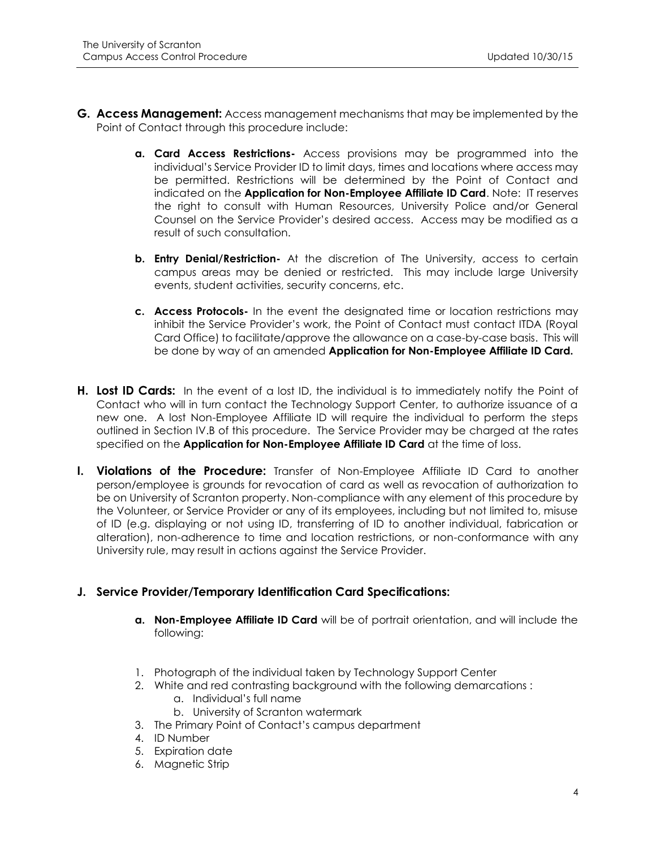- **G. Access Management:** Access management mechanisms that may be implemented by the Point of Contact through this procedure include:
	- **a. Card Access Restrictions-** Access provisions may be programmed into the individual's Service Provider ID to limit days, times and locations where access may be permitted. Restrictions will be determined by the Point of Contact and indicated on the **Application for Non-Employee Affiliate ID Card**. Note: IT reserves the right to consult with Human Resources, University Police and/or General Counsel on the Service Provider's desired access. Access may be modified as a result of such consultation.
	- **b. Entry Denial/Restriction-** At the discretion of The University, access to certain campus areas may be denied or restricted. This may include large University events, student activities, security concerns, etc.
	- **c. Access Protocols-** In the event the designated time or location restrictions may inhibit the Service Provider's work, the Point of Contact must contact ITDA (Royal Card Office) to facilitate/approve the allowance on a case-by-case basis. This will be done by way of an amended **Application for Non-Employee Affiliate ID Card.**
- **H. Lost ID Cards:** In the event of a lost ID, the individual is to immediately notify the Point of Contact who will in turn contact the Technology Support Center, to authorize issuance of a new one. A lost Non-Employee Affiliate ID will require the individual to perform the steps outlined in Section IV.B of this procedure. The Service Provider may be charged at the rates specified on the **Application for Non-Employee Affiliate ID Card** at the time of loss.
- **I. Violations of the Procedure:** Transfer of Non-Employee Affiliate ID Card to another person/employee is grounds for revocation of card as well as revocation of authorization to be on University of Scranton property. Non-compliance with any element of this procedure by the Volunteer, or Service Provider or any of its employees, including but not limited to, misuse of ID (e.g. displaying or not using ID, transferring of ID to another individual, fabrication or alteration), non-adherence to time and location restrictions, or non-conformance with any University rule, may result in actions against the Service Provider.

# **J. Service Provider/Temporary Identification Card Specifications:**

- **a. Non-Employee Affiliate ID Card** will be of portrait orientation, and will include the following:
- 1. Photograph of the individual taken by Technology Support Center
- 2. White and red contrasting background with the following demarcations :
	- a. Individual's full name
	- b. University of Scranton watermark
- 3. The Primary Point of Contact's campus department
- 4. ID Number
- 5. Expiration date
- 6. Magnetic Strip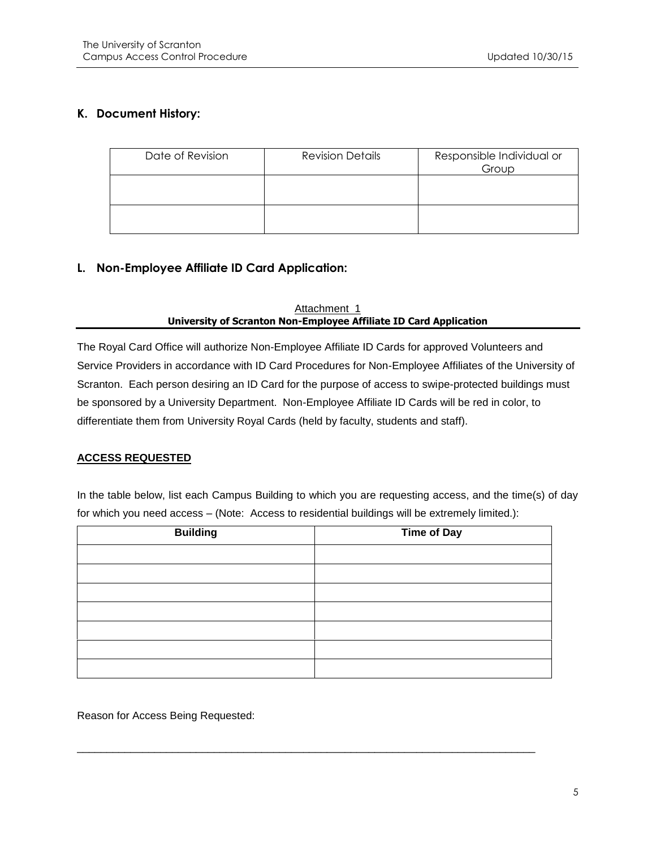# **K. Document History:**

| Date of Revision | <b>Revision Details</b> | Responsible Individual or<br>Group |
|------------------|-------------------------|------------------------------------|
|                  |                         |                                    |
|                  |                         |                                    |

# **L. Non-Employee Affiliate ID Card Application:**

#### Attachment 1 **University of Scranton Non-Employee Affiliate ID Card Application**

The Royal Card Office will authorize Non-Employee Affiliate ID Cards for approved Volunteers and Service Providers in accordance with ID Card Procedures for Non-Employee Affiliates of the University of Scranton. Each person desiring an ID Card for the purpose of access to swipe-protected buildings must be sponsored by a University Department. Non-Employee Affiliate ID Cards will be red in color, to differentiate them from University Royal Cards (held by faculty, students and staff).

#### **ACCESS REQUESTED**

In the table below, list each Campus Building to which you are requesting access, and the time(s) of day for which you need access – (Note: Access to residential buildings will be extremely limited.):

| <b>Building</b> | <b>Time of Day</b> |
|-----------------|--------------------|
|                 |                    |
|                 |                    |
|                 |                    |
|                 |                    |
|                 |                    |
|                 |                    |
|                 |                    |

\_\_\_\_\_\_\_\_\_\_\_\_\_\_\_\_\_\_\_\_\_\_\_\_\_\_\_\_\_\_\_\_\_\_\_\_\_\_\_\_\_\_\_\_\_\_\_\_\_\_\_\_\_\_\_\_\_\_\_\_\_\_\_\_\_\_\_\_\_\_\_\_\_\_\_\_\_

Reason for Access Being Requested: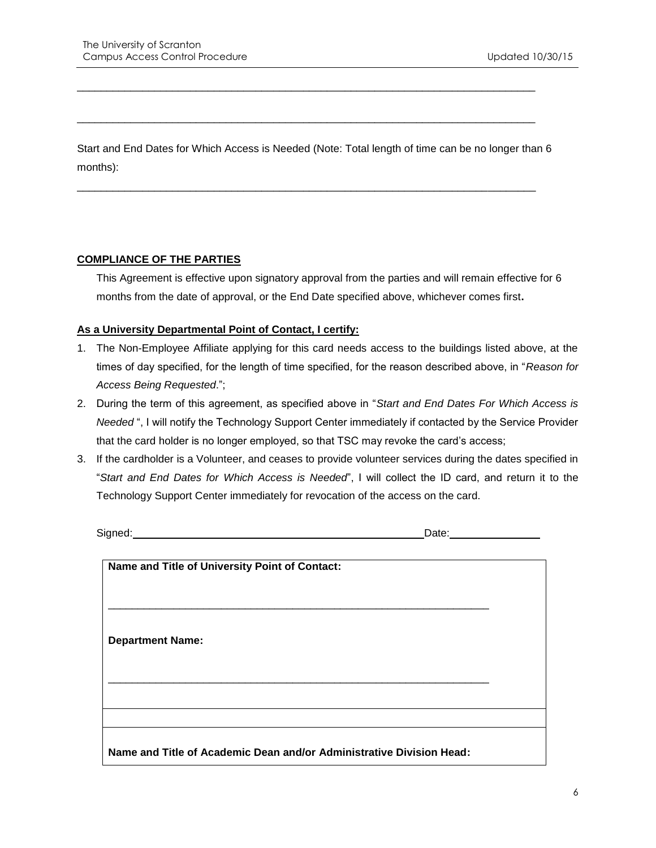Start and End Dates for Which Access is Needed (Note: Total length of time can be no longer than 6 months):

\_\_\_\_\_\_\_\_\_\_\_\_\_\_\_\_\_\_\_\_\_\_\_\_\_\_\_\_\_\_\_\_\_\_\_\_\_\_\_\_\_\_\_\_\_\_\_\_\_\_\_\_\_\_\_\_\_\_\_\_\_\_\_\_\_\_\_\_\_\_\_\_\_\_\_\_\_

\_\_\_\_\_\_\_\_\_\_\_\_\_\_\_\_\_\_\_\_\_\_\_\_\_\_\_\_\_\_\_\_\_\_\_\_\_\_\_\_\_\_\_\_\_\_\_\_\_\_\_\_\_\_\_\_\_\_\_\_\_\_\_\_\_\_\_\_\_\_\_\_\_\_\_\_\_

\_\_\_\_\_\_\_\_\_\_\_\_\_\_\_\_\_\_\_\_\_\_\_\_\_\_\_\_\_\_\_\_\_\_\_\_\_\_\_\_\_\_\_\_\_\_\_\_\_\_\_\_\_\_\_\_\_\_\_\_\_\_\_\_\_\_\_\_\_\_\_\_\_\_\_\_\_

#### **COMPLIANCE OF THE PARTIES**

This Agreement is effective upon signatory approval from the parties and will remain effective for 6 months from the date of approval, or the End Date specified above, whichever comes first**.**

## **As a University Departmental Point of Contact, I certify:**

- 1. The Non-Employee Affiliate applying for this card needs access to the buildings listed above, at the times of day specified, for the length of time specified, for the reason described above, in "*Reason for Access Being Requested*.";
- 2. During the term of this agreement, as specified above in "*Start and End Dates For Which Access is Needed* ", I will notify the Technology Support Center immediately if contacted by the Service Provider that the card holder is no longer employed, so that TSC may revoke the card's access;
- 3. If the cardholder is a Volunteer, and ceases to provide volunteer services during the dates specified in "*Start and End Dates for Which Access is Needed*", I will collect the ID card, and return it to the Technology Support Center immediately for revocation of the access on the card.

Signed: Contract of the Contract of the Contract of the Contract of the Date:

| Name and Title of University Point of Contact:                       |  |
|----------------------------------------------------------------------|--|
|                                                                      |  |
|                                                                      |  |
|                                                                      |  |
|                                                                      |  |
|                                                                      |  |
|                                                                      |  |
| <b>Department Name:</b>                                              |  |
|                                                                      |  |
|                                                                      |  |
|                                                                      |  |
|                                                                      |  |
|                                                                      |  |
|                                                                      |  |
|                                                                      |  |
|                                                                      |  |
| Name and Title of Academic Dean and/or Administrative Division Head: |  |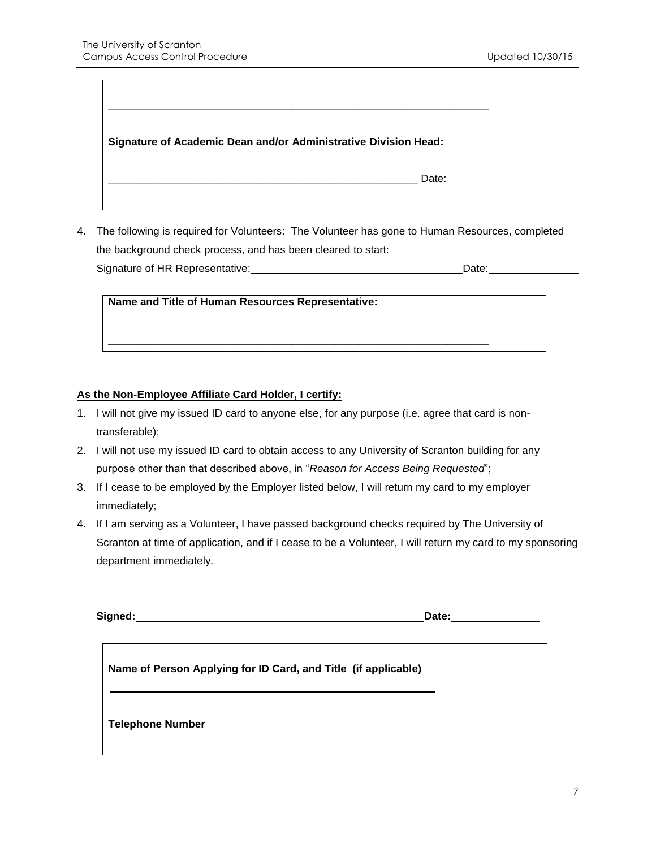$\Gamma$ 

 $\overline{\phantom{a}}$ 

| Signature of Academic Dean and/or Administrative Division Head: |  |
|-----------------------------------------------------------------|--|
| Date:                                                           |  |

4. The following is required for Volunteers: The Volunteer has gone to Human Resources, completed the background check process, and has been cleared to start: Signature of HR Representative: Date:

**Name and Title of Human Resources Representative:**

# **As the Non-Employee Affiliate Card Holder, I certify:**

1. I will not give my issued ID card to anyone else, for any purpose (i.e. agree that card is nontransferable);

\_\_\_\_\_\_\_\_\_\_\_\_\_\_\_\_\_\_\_\_\_\_\_\_\_\_\_\_\_\_\_\_\_\_\_\_\_\_\_\_\_\_\_\_\_\_\_\_\_\_\_\_\_\_\_\_\_\_\_\_\_\_\_\_

- 2. I will not use my issued ID card to obtain access to any University of Scranton building for any purpose other than that described above, in "*Reason for Access Being Requested*";
- 3. If I cease to be employed by the Employer listed below, I will return my card to my employer immediately;
- 4. If I am serving as a Volunteer, I have passed background checks required by The University of Scranton at time of application, and if I cease to be a Volunteer, I will return my card to my sponsoring department immediately.

| Name of Person Applying for ID Card, and Title (if applicable) |
|----------------------------------------------------------------|
| <b>Telephone Number</b>                                        |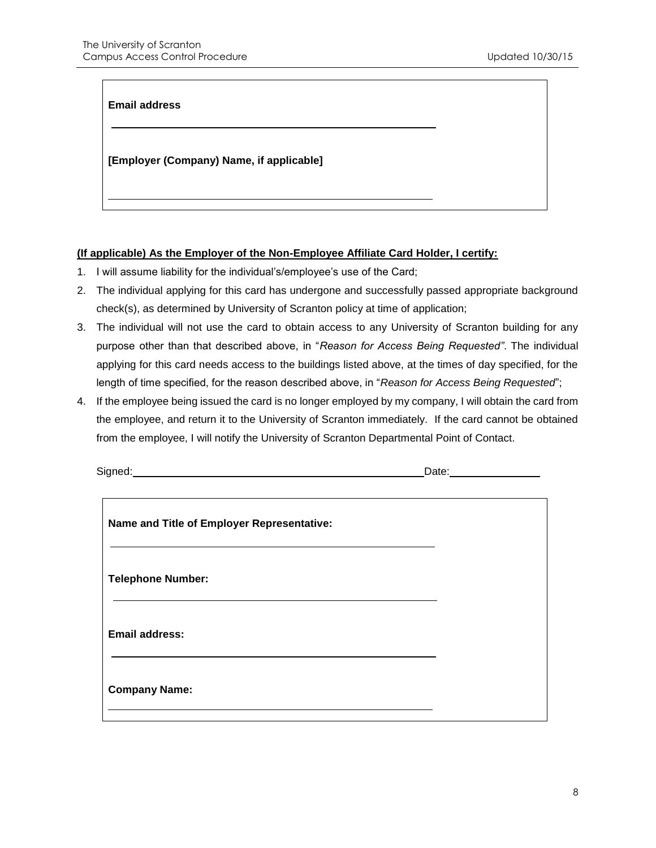#### **Email address**

#### **[Employer (Company) Name, if applicable]**

#### **(If applicable) As the Employer of the Non-Employee Affiliate Card Holder, I certify:**

- 1. I will assume liability for the individual's/employee's use of the Card;
- 2. The individual applying for this card has undergone and successfully passed appropriate background check(s), as determined by University of Scranton policy at time of application;
- 3. The individual will not use the card to obtain access to any University of Scranton building for any purpose other than that described above, in "*Reason for Access Being Requested"*. The individual applying for this card needs access to the buildings listed above, at the times of day specified, for the length of time specified, for the reason described above, in "*Reason for Access Being Requested*";
- 4. If the employee being issued the card is no longer employed by my company, I will obtain the card from the employee, and return it to the University of Scranton immediately. If the card cannot be obtained from the employee, I will notify the University of Scranton Departmental Point of Contact.

| Signed:                                    |  |
|--------------------------------------------|--|
| Name and Title of Employer Representative: |  |
| <b>Telephone Number:</b>                   |  |
| <b>Email address:</b>                      |  |
| <b>Company Name:</b>                       |  |